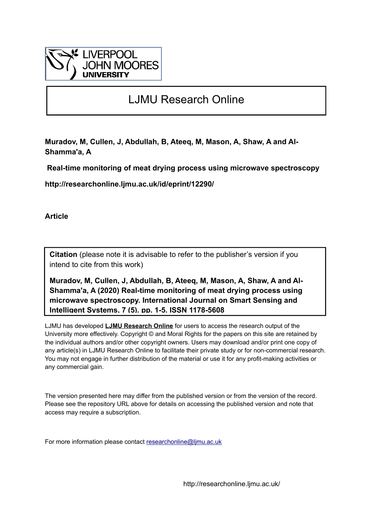

# LJMU Research Online

**Muradov, M, Cullen, J, Abdullah, B, Ateeq, M, Mason, A, Shaw, A and Al-Shamma'a, A**

 **Real-time monitoring of meat drying process using microwave spectroscopy**

**http://researchonline.ljmu.ac.uk/id/eprint/12290/**

**Article**

**Citation** (please note it is advisable to refer to the publisher's version if you intend to cite from this work)

**Muradov, M, Cullen, J, Abdullah, B, Ateeq, M, Mason, A, Shaw, A and Al-Shamma'a, A (2020) Real-time monitoring of meat drying process using microwave spectroscopy. International Journal on Smart Sensing and Intelligent Systems, 7 (5). pp. 1-5. ISSN 1178-5608** 

LJMU has developed **[LJMU Research Online](http://researchonline.ljmu.ac.uk/)** for users to access the research output of the University more effectively. Copyright © and Moral Rights for the papers on this site are retained by the individual authors and/or other copyright owners. Users may download and/or print one copy of any article(s) in LJMU Research Online to facilitate their private study or for non-commercial research. You may not engage in further distribution of the material or use it for any profit-making activities or any commercial gain.

The version presented here may differ from the published version or from the version of the record. Please see the repository URL above for details on accessing the published version and note that access may require a subscription.

For more information please contact [researchonline@ljmu.ac.uk](mailto:researchonline@ljmu.ac.uk)

http://researchonline.ljmu.ac.uk/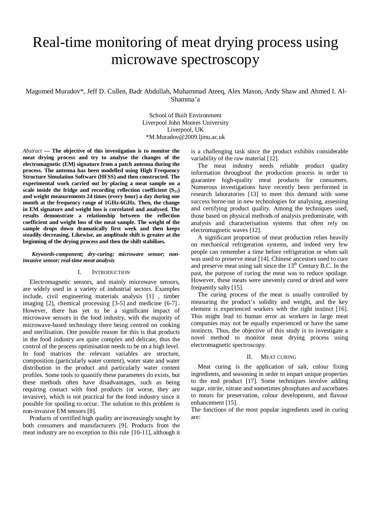# Real-time monitoring of meat drying process using microwave spectroscopy

Magomed Muradov\*, Jeff D. Cullen, Badr Abdullah, Muhammad Ateeq, Alex Mason, Andy Shaw and Ahmed I. Al-Shamma'a

> School of Built Environment Liverpool John Moores University Liverpool, UK \*M.Muradov@2009.ljmu.ac.uk

*Abstract* **— The objective of this investigation is to monitor the meat drying process and try to analyse the changes of the electromagnetic (EM) signature from a patch antenna during the process. The antenna has been modelled using High Frequency Structure Simulation Software (HFSS) and then constructed. The experimental work carried out by placing a meat sample on a** scale inside the fridge and recording reflection coefficient  $(S_{11})$ **and weight measurements 24 times (every hour) a day during one month at the frequency range of 1GHz-6GHz. Then, the change in EM signature and weight loss is correlated and analysed. The results demonstrate a relationship between the reflection coefficient and weight loss of the meat sample. The weight of the sample drops down dramatically first week and then keeps steadily decreasing. Likewise, an amplitude shift is greater at the beginning of the drying process and then the shift stabilises.**

#### *Keywords-component; dry-curing; microwave sensor; noninvasive sensor; real-time meat analysis*

#### I. INTRODUCTION

Electromagnetic sensors, and mainly microwave sensors, are widely used in a variety of industrial sectors. Examples include, civil engineering materials analysis [1] , timber imaging  $[2]$ , chemical processing  $[3-5]$  and medicine  $[6-7]$ . However, there has yet to be a significant impact of microwave sensors in the food industry, with the majority of microwave-based technology there being centred on cooking and sterilisation. One possible reason for this is that products in the food industry are quite complex and delicate, thus the control of the process optimisation needs to be on a high level. In food matrices the relevant variables are structure, composition (particularly water content), water state and water distribution in the product and particularly water content profiles. Some tools to quantify these parameters do exists, but these methods often have disadvantages, such as being requiring contact with food products (or worse, they are invasive), which is not practical for the food industry since it possible for spoiling to occur. The solution to this problem is non-invasive EM sensors [8].

Products of certified high quality are increasingly sought by both consumers and manufacturers [9]. Products from the meat industry are no exception to this rule  $[10-11]$ , although it is a challenging task since the product exhibits considerable variability of the raw material [12].

The meat industry needs reliable product quality information throughout the production process in order to guarantee high-quality meat products for consumers. Numerous investigations have recently been performed in research laboratories [13] to meet this demand with some success borne out in new technologies for analysing, assessing and certifying product quality. Among the techniques used, those based on physical methods of analysis predominate, with analysis and characterisation systems that often rely on electromagnetic waves [12].

A significant proportion of meat production relies heavily on mechanical refrigeration systems, and indeed very few people can remember a time before refrigeration or when salt was used to preserve meat [14]. Chinese ancestors used to cure and preserve meat using salt since the  $13<sup>th</sup>$  Century B.C. In the past, the purpose of curing the meat was to reduce spoilage. However, these meats were unevenly cured or dried and were frequently salty [15].

The curing process of the meat is usually controlled by measuring the product's solidity and weight, and the key element is experienced workers with the right instinct [16]. This might lead to human error as workers in large meat companies may not be equally experienced or have the same instincts. Thus, the objective of this study is to investigate a novel method to monitor meat drying process using electromagnetic spectroscopy.

#### II. MEAT CURING

Meat curing is the application of salt, colour fixing ingredients, and seasoning in order to impart unique properties to the end product [17]. Some techniques involve adding sugar, nitrite, nitrate and sometimes phosphates and ascorbates to meats for preservation, colour development, and flavour enhancement [15].

The functions of the most popular ingredients used in curing are: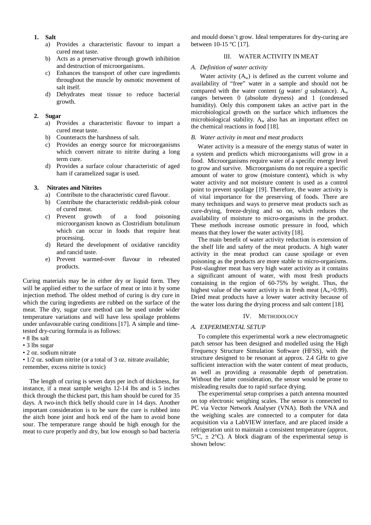- **1. Salt**
	- a) Provides a characteristic flavour to impart a cured meat taste.
	- b) Acts as a preservative through growth inhibition and destruction of microorganisms.
	- c) Enhances the transport of other cure ingredients throughout the muscle by osmotic movement of salt itself.
	- d) Dehydrates meat tissue to reduce bacterial growth.

#### **2. Sugar**

- a) Provides a characteristic flavour to impart a cured meat taste.
- b) Counteracts the harshness of salt.
- c) Provides an energy source for microorganisms which convert nitrate to nitrite during a long term cure.
- d) Provides a surface colour characteristic of aged ham if caramelized sugar is used.

# **3. Nitrates and Nitrites**

- a) Contribute to the characteristic cured flavour.
- b) Contribute the characteristic reddish-pink colour of cured meat.
- c) Prevent growth of a food poisoning microorganism known as Clostridium botulinum which can occur in foods that require heat processing.
- d) Retard the development of oxidative rancidity and rancid taste.
- e) Prevent warmed-over flavour in reheated products.

Curing materials may be in either dry or liquid form. They will be applied either to the surface of meat or into it by some injection method. The oldest method of curing is dry cure in which the curing ingredients are rubbed on the surface of the meat. The dry, sugar cure method can be used under wider temperature variations and will have less spoilage problems under unfavourable curing conditions [17]. A simple and timetested dry-curing formula is as follows:

- 8 lbs salt
- 3 lbs sugar
- 2 oz. sodium nitrate

• 1/2 oz. sodium nitrite (or a total of 3 oz. nitrate available; remember, excess nitrite is toxic)

The length of curing is seven days per inch of thickness, for instance, if a meat sample weighs 12-14 lbs and is 5 inches thick through the thickest part, this ham should be cured for 35 days. A two-inch thick belly should cure in 14 days. Another important consideration is to be sure the cure is rubbed into the aitch bone joint and hock end of the ham to avoid bone sour. The temperature range should be high enough for the meat to cure properly and dry, but low enough so bad bacteria

and mould doesn't grow. Ideal temperatures for dry-curing are between 10-15 °C [17].

# III. WATER ACTIVITY IN MEAT

#### *A. Definition of water activity*

Water activity  $(A_w)$  is defined as the current volume and availability of "free" water in a sample and should not be compared with the water content (*g* water/ *g* substance).  $A_w$ ranges between 0 (absolute dryness) and 1 (condensed humidity). Only this component takes an active part in the microbiological growth on the surface which influences the microbiological stability.  $A_w$  also has an important effect on the chemical reactions in food [18].

## *B. Water activity in meat and meat products*

Water activity is a measure of the energy status of water in a system and predicts which microorganisms will grow in a food. Microorganisms require water of a specific energy level to grow and survive. Microorganisms do not require a specific amount of water to grow (moisture content), which is why water activity and not moisture content is used as a control point to prevent spoilage [19]. Therefore, the water activity is of vital importance for the preserving of foods. There are many techniques and ways to preserve meat products such as cure-drying, freeze-drying and so on, which reduces the availability of moisture to micro-organisms in the product. These methods increase osmotic pressure in food, which means that they lower the water activity [18].

The main benefit of water activity reduction is extension of the shelf life and safety of the meat products. A high water activity in the meat product can cause spoilage or even poisoning as the products are more stable to micro-organisms. Post-slaughter meat has very high water activity as it contains a significant amount of water, with most fresh products containing in the region of 60-75% by weight. Thus, the highest value of the water activity is in fresh meat  $(A_w>0.99)$ . Dried meat products have a lower water activity because of the water loss during the drying process and salt content [18].

## IV. METHODOLOGY

## *A. EXPERIMENTAL SETUP*

To complete this experimental work a new electromagnetic patch sensor has been designed and modelled using the High Frequency Structure Simulation Software (HFSS), with the structure designed to be resonant at approx. 2.4 GHz to give sufficient interaction with the water content of meat products, as well as providing a reasonable depth of penetration. Without the latter consideration, the sensor would be prone to misleading results due to rapid surface drying.

The experimental setup comprises a patch antenna mounted on top electronic weighing scales. The sensor is connected to PC via Vector Network Analyser (VNA). Both the VNA and the weighing scales are connected to a computer for data acquisition via a LabVIEW interface, and are placed inside a refrigeration unit to maintain a consistent temperature (approx.  $5^{\circ}C$ ,  $\pm$  2°C). A block diagram of the experimental setup is shown below: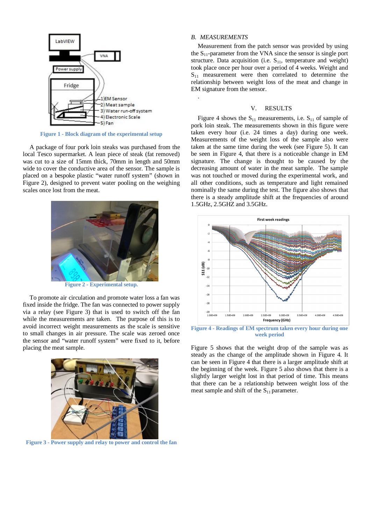

**Figure 1 - Block diagram of the experimental setup**

A package of four pork loin steaks was purchased from the local Tesco supermarket. A lean piece of steak (fat removed) was cut to a size of 15mm thick, 70mm in length and 50mm wide to cover the conductive area of the sensor. The sample is placed on a bespoke plastic "water runoff system" (shown in Figure 2), designed to prevent water pooling on the weighing scales once lost from the meat.



**Figure 2 - Experimental setup.**

To promote air circulation and promote water loss a fan was fixed inside the fridge. The fan was connected to power supply via a relay (see Figure 3) that is used to switch off the fan while the measurements are taken. The purpose of this is to avoid incorrect weight measurements as the scale is sensitive to small changes in air pressure. The scale was zeroed once the sensor and "water runoff system" were fixed to it, before placing the meat sample.



**Figure 3 - Power supply and relay to power and control the fan**

# *B. MEASUREMENTS*

.

Measurement from the patch sensor was provided by using the  $S_{11}$ -parameter from the VNA since the sensor is single port structure. Data acquisition (i.e.  $S_{11}$ , temperature and weight) took place once per hour over a period of 4 weeks. Weight and  $S<sub>11</sub>$  measurement were then correlated to determine the relationship between weight loss of the meat and change in EM signature from the sensor.

#### V. RESULTS

Figure 4 shows the  $S_{11}$  measurements, i.e.  $S_{11}$  of sample of pork loin steak. The measurements shown in this figure were taken every hour (i.e. 24 times a day) during one week. Measurements of the weight loss of the sample also were taken at the same time during the week (see Figure 5). It can be seen in Figure 4, that there is a noticeable change in EM signature. The change is thought to be caused by the decreasing amount of water in the meat sample. The sample was not touched or moved during the experimental work, and all other conditions, such as temperature and light remained nominally the same during the test. The figure also shows that there is a steady amplitude shift at the frequencies of around 1.5GHz, 2.5GHZ and 3.5GHz.



**Figure 4 - Readings of EM spectrum taken every hour during one week period**

Figure 5 shows that the weight drop of the sample was as steady as the change of the amplitude shown in Figure 4. It can be seen in Figure 4 that there is a larger amplitude shift at the beginning of the week. Figure 5 also shows that there is a slightly larger weight lost in that period of time. This means that there can be a relationship between weight loss of the meat sample and shift of the  $S_{11}$  parameter.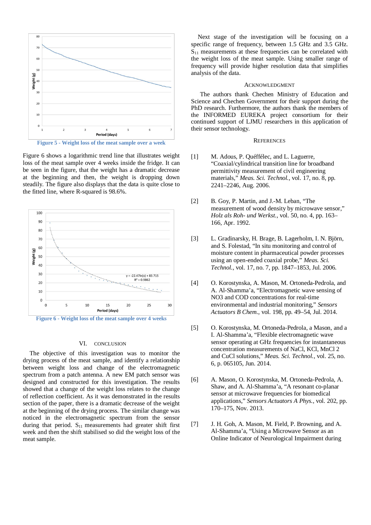

Figure 6 shows a logarithmic trend line that illustrates weight loss of the meat sample over 4 weeks inside the fridge. It can be seen in the figure, that the weight has a dramatic decrease at the beginning and then, the weight is dropping down steadily. The figure also displays that the data is quite close to the fitted line, where R-squared is 98.6%.



#### VI. CONCLUSION

The objective of this investigation was to monitor the drying process of the meat sample, and identify a relationship between weight loss and change of the electromagnetic spectrum from a patch antenna. A new EM patch sensor was designed and constructed for this investigation. The results showed that a change of the weight loss relates to the change of reflection coefficient. As it was demonstrated in the results section of the paper, there is a dramatic decrease of the weight at the beginning of the drying process. The similar change was noticed in the electromagnetic spectrum from the sensor during that period.  $S_{11}$  measurements had greater shift first week and then the shift stabilised so did the weight loss of the meat sample.

Next stage of the investigation will be focusing on a specific range of frequency, between 1.5 GHz and 3.5 GHz.  $S<sub>11</sub>$  measurements at these frequencies can be correlated with the weight loss of the meat sample. Using smaller range of frequency will provide higher resolution data that simplifies analysis of the data.

#### ACKNOWLEDGMENT

The authors thank Chechen Ministry of Education and Science and Chechen Government for their support during the PhD research. Furthermore, the authors thank the members of the INFORMED EUREKA project consortium for their continued support of LJMU researchers in this application of their sensor technology.

## **REFERENCES**

- [1] M. Adous, P. Quéffélec, and L. Laguerre, "Coaxial/cylindrical transition line for broadband permittivity measurement of civil engineering materials," *Meas. Sci. Technol.*, vol. 17, no. 8, pp. 2241–2246, Aug. 2006.
- [2] B. Goy, P. Martin, and J.-M. Leban, "The measurement of wood density by microwave sensor," *Holz als Roh- und Werkst.*, vol. 50, no. 4, pp. 163– 166, Apr. 1992.
- [3] L. Gradinarsky, H. Brage, B. Lagerholm, I. N. Björn, and S. Folestad, "In situ monitoring and control of moisture content in pharmaceutical powder processes using an open-ended coaxial probe," *Meas. Sci. Technol.*, vol. 17, no. 7, pp. 1847–1853, Jul. 2006.
- [4] O. Korostynska, A. Mason, M. Ortoneda-Pedrola, and A. Al-Shamma'a, "Electromagnetic wave sensing of NO3 and COD concentrations for real-time environmental and industrial monitoring," *Sensors Actuators B Chem.*, vol. 198, pp. 49–54, Jul. 2014.
- [5] O. Korostynska, M. Ortoneda-Pedrola, a Mason, and a I. Al-Shamma'a, "Flexible electromagnetic wave sensor operating at GHz frequencies for instantaneous concentration measurements of NaCl, KCl, MnCl 2 and CuCl solutions," *Meas. Sci. Technol.*, vol. 25, no. 6, p. 065105, Jun. 2014.
- [6] A. Mason, O. Korostynska, M. Ortoneda-Pedrola, A. Shaw, and A. Al-Shamma'a, "A resonant co-planar sensor at microwave frequencies for biomedical applications," *Sensors Actuators A Phys.*, vol. 202, pp. 170–175, Nov. 2013.
- [7] J. H. Goh, A. Mason, M. Field, P. Browning, and A. Al-Shamma'a, "Using a Microwave Sensor as an Online Indicator of Neurological Impairment during